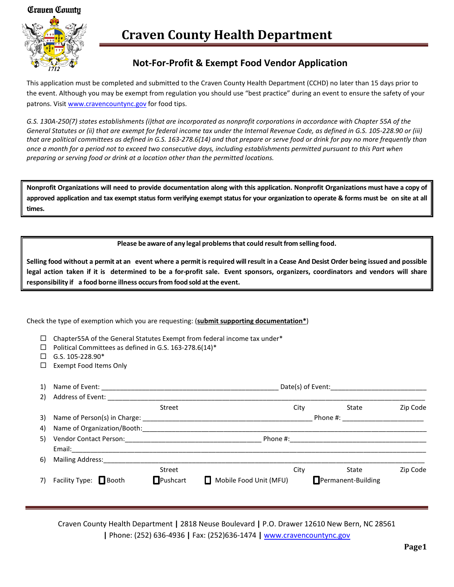#### *Craven County*



# **Craven County Health Department**

### **Not-For-Profit & Exempt Food Vendor Application**

This application must be completed and submitted to the Craven County Health Department (CCHD) no later than 15 days prior to the event. Although you may be exempt from regulation you should use "best practice" during an event to ensure the safety of your patrons. Visit [www.cravencountync.gov](http://www.cravencountync.gov/) for food tips.

*G.S. 130A-250(7) states establishments (i)that are incorporated as nonprofit corporations in accordance with Chapter 55A of the General Statutes or (ii) that are exempt for federal income tax under the Internal Revenue Code, as defined in G.S. 105-228.90 or (iii) that are political committees as defined in G.S. 163-278.6(14) and that prepare or serve food or drink for pay no more frequently than once a month for a period not to exceed two consecutive days, including establishments permitted pursuant to this Part when preparing or serving food or drink at a location other than the permitted locations.*

**Nonprofit Organizations will need to provide documentation along with this application. Nonprofit Organizations must have a copy of**  approved application and tax exempt status form verifying exempt status for your organization to operate & forms must be on site at all **times.**

**Please be aware of any legal problemsthat could resultfrom selling food.**

Selling food without a permit at an event where a permit is required will result in a Cease And Desist Order being issued and possible legal action taken if it is determined to be a for-profit sale. Event sponsors, organizers, coordinators and vendors will share **responsibility if a food borne illness occursfrom food sold atthe event.**

Check the type of exemption which you are requesting: (**submit supporting documentation\***)

- $\Box$  Chapter55A of the General Statutes Exempt from federal income tax under\*
- $\Box$  Political Committees as defined in G.S. 163-278.6(14)\*
- $\Box$  G.S. 105-228.90\*
- □ Exempt Food Items Only

| 1) |                                                       |                 |                        | Date(s) of Event: |          |                           |          |  |
|----|-------------------------------------------------------|-----------------|------------------------|-------------------|----------|---------------------------|----------|--|
| 2) | Address of Event:                                     |                 |                        |                   |          |                           |          |  |
|    |                                                       | Street          |                        | City              |          | State                     | Zip Code |  |
|    | 3) Name of Person(s) in Charge: _____________         |                 | Phone #:               |                   |          |                           |          |  |
|    | 4) Name of Organization/Booth: Name of Organization   |                 |                        |                   |          |                           |          |  |
|    | 5) Vendor Contact Person: [19] Vendor Contact Person: |                 |                        |                   | Phone #: |                           |          |  |
|    |                                                       |                 |                        |                   |          |                           |          |  |
| 6) | Mailing Address:                                      |                 |                        |                   |          |                           |          |  |
|    |                                                       | Street          |                        | City              |          | State                     | Zip Code |  |
| 7) | Facility Type: $\Box$ Booth                           | $\Box$ Pushcart | Mobile Food Unit (MFU) |                   |          | $\Box$ Permanent-Building |          |  |
|    |                                                       |                 |                        |                   |          |                           |          |  |

Craven County Health Department **|** 2818 Neuse Boulevard **|** P.O. Drawer 12610 New Bern, NC 28561 **|** Phone: (252) 636-4936 **|** Fax: (252)636-1474 **|** [www.cravencountync.gov](http://www.cravencountync.gov/)